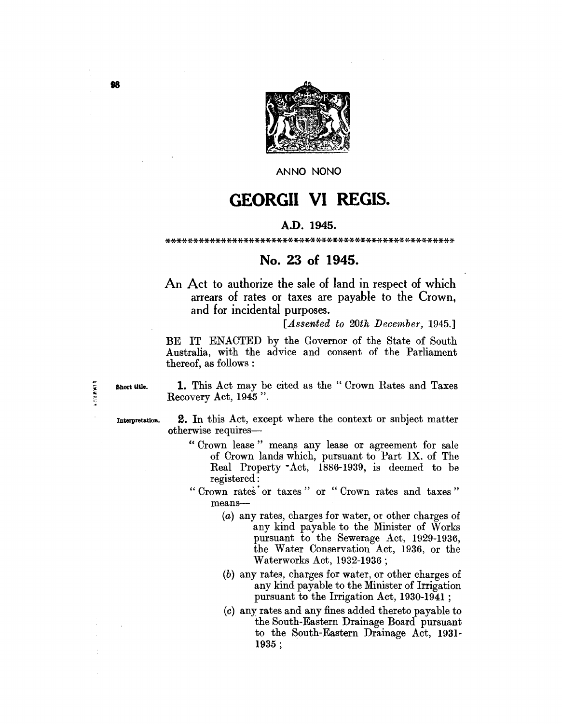

ANNO NONO

# **GEORGII VI REGIS.**

# A.D. 1945.

### \*\*\*\*\*\*\*\*\*\*\*\*\*\*\*\*\*\*\*\*\*\*\*\*\*\*\*\*\*\*\*\*\*\*\*\*\*\*\*\*\*\*\*\*\*\*\*\*\*\*\*\*

# **No. 23 of 1945.**

An Act to authorize the sale of land in respect of which arrears of rates or taxes are payable to the Crown, and for incidental purposes.

*[Assented to 20th December, 1945.]* 

BE IT ENACTED by the Governor of the State of South Australia, with the advice and consent of the Parliament thereof, as follows :

Short title.

1. 计算器开关

1. This Act may be cited as the" Crown Rates and Taxes Recovery Act, 1945 ".

Interpretatlon. 2. In this Act, except where the context or subject matter otherwise requires-

- "Crown lease" means any lease or agreement for sale of Crown lands which, pursuant to Part IX. of The Real Property· Act, 1886-1939, is deemed to be registered:
- "Crown rates or taxes" or "Crown rates and taxes" means-
	- (a) any rates, charges for water, or other charges of any kind payable to the Minister of \Vorks pursuant to the Sewerage Act, 1929-1936, the Water Conservation Act, 1936, or the Waterworks Act, 1932-1936;
	- (b) any rates, charges for water, or other charges of any kind payable to the Minister of Irrigation pursuant to the Irrigation Act, 1930-1941 ;
	- (c) any rates and any fines added thereto payable to the South-Eastern Drainage Board pursuant to the South-Eastern Drainage Act, 1931- 1935 ;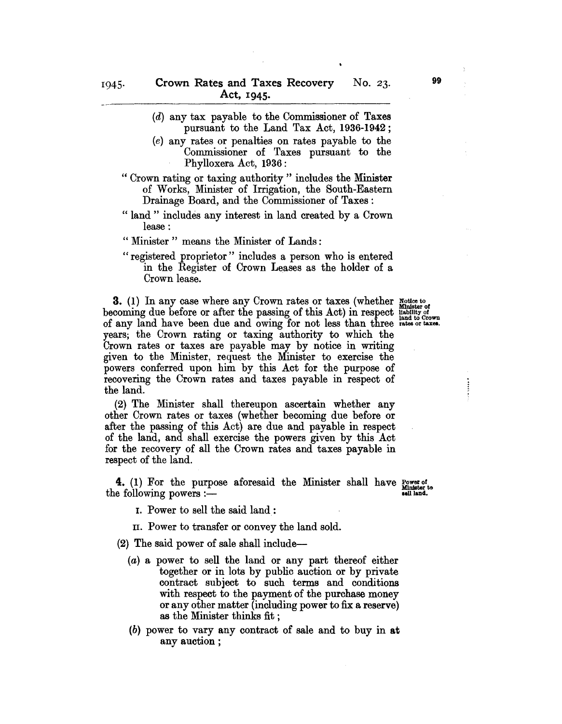- (d) any tax payable to the Commissioner of Taxes pursuant to the Land Tax Act, 1936-1942;
- (e) any rates or penalties on rates payable to the Commissioner of Taxes pursuant to the Phylloxera Act, 1936:
- " Crown rating or taxing authority" includes the Minister of Works, Minister of Irrigation, the South-Eastern Drainage Board, and the Commissioner of Taxes:
- " land" includes any interest in land created by a Crown lease:
- " Minister " means the Minister of Lands:
- "registered proprietor" includes a person who is entered in the Register of Crown Leases as the holder of a Crown lease.

3. (1) In any case where any Crown rates or taxes (whether  $_{\text{Minkter }o}^{\text{notice to}}$ becoming due before or after the passing of this Act) in respect usbility of of any land have been due and owing for not less than three rates or taxes. years; the Crown rating or taxing authority to which the Crown rates or taxes are payable may by notice in writing given to the Minister, request the Minister to exercise the powers conferred upon him by this Act for the purpose of recovering the Crown rates and taxes payable in respect of the land.

(2) The Minister shall thereupon ascertain whether any other Crown rates or taxes (whether becoming due before or after the passing of this Act) are due and payable in respect of the land, and shall exercise the powers given by this Act for the recovery of all the Crown rates and taxes payable in respect of the land.

**4.** (1) For the purpose aforesaid the Minister shall have  $\frac{Power\ of_{Minter}^{Minter} \cdot E}{Minter}$  the following powers :-

- 1. Power to sell the said land:
- II. Power to transfer or convey the land sold.

(2) The said power of sale shall include-

- (a) a power to sell the land or any part thereof either together or in lots by public auction or by private contract subject to such terms and conditions with respect to the payment of the purchase money or any other matter (including power to fix a reserve) as the Minister thinks fit ;
- (b) power to vary any contract of sale and to buy in at any auction ;

99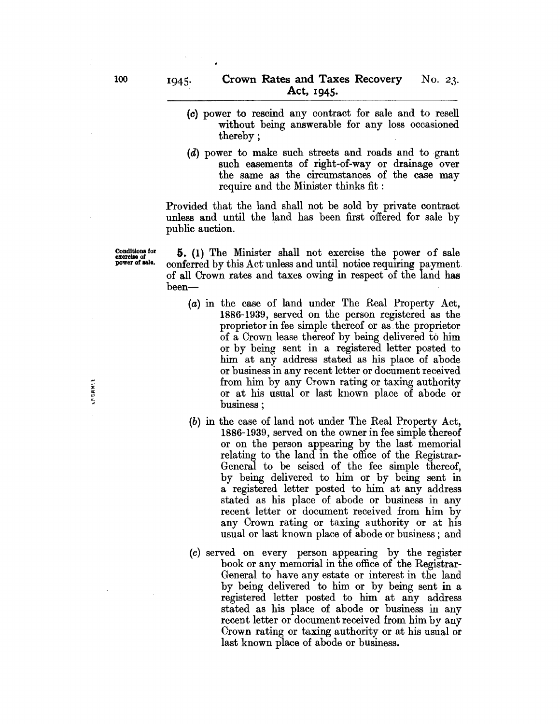- (0) power to rescind any contract for sale and to resell without being answerable for any loss occasioned thereby;
- (d) power to make such streets and roads and to grant such easements of right-of-way or drainage over the same as the circumstances of the case may require and the Minister thinks fit :

Provided that the land shall not be sold by private contract unless and until the land has been first offered for sale by public auction.

**NEGRETI** 

 $\frac{\text{conditions for}}{\text{excess of side}}$  5. (1) The Minister shall not exercise the power of sale conferred by this Act unless and until notice requiring payment. of all Crown rates and taxes owing in respect of the land has been-

- (a) in the case of land under The Real Property Act, 1886-1939, served on the person registered as the proprietor in fee simple thereof or as. the proprietor of a Crown lease thereof by being delivered to him or by being sent in a registered letter posted to him at any address stated as his place of abode or business in any recent letter or document received from him by any Crown rating or taxing authority or at his usual or last known place of abode or business;
- (b) in the case of land not under The Real Property Act, 1886-1939, served on the owner in fee simple thereof or on the person appearing by the last memorial relating to the land in the office of the Registrar-General to be seised of the fee simple thereof, by being delivered to him or by being sent in a registered letter posted to him at any address stated as his place of abode or business in any recent letter or document received from him by any Crown rating or taxing authority or at his usual or last known place of abode or business; and
- (c) served on every person appearing by the register book or any memorial in the office of the Registrar-General to have any estate or interest in the land by being delivered to him or by being sent in a registered letter posted to him at any address stated as his place of abode or business in any recent letter or document received from him by any Crown rating or taxing authority or at his usual or last known place of abode or business.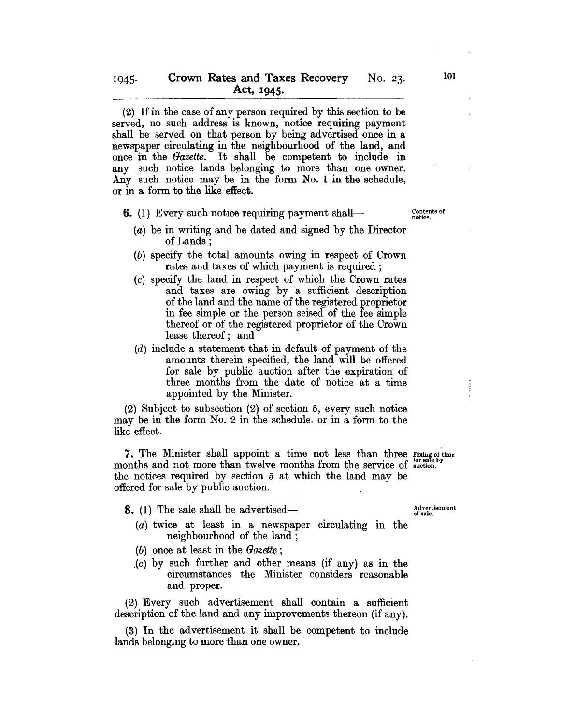(2) If in the case of any person required by this section to be served, no such address is known, notice requiring payment shall be served on that person by being advertised once in a newspaper circulating in the neighbourhood of the land, and once in the *Gazette.* It shall be competent to include in any such notice lands belonging to more than one owner. Any such notice may be in the form No.1 in the schedule, or in a form to the like effect.

- **6.** (1) Every such notice requiring payment shall-
	- (a) be in writing and be dated and signed by the Director of Lands;
	- (b) specify the total amounts owing in respect of Crown rates and taxes of which payment is required;
	- (c) specify the land in respect of which the Crown rates and taxes are owing by a sufficient description of the land and the name of the registered proprietor in fee simple or the person seised of the fee simple thereof or of the registered proprietor of the Crown lease thereof; and
	- (d) include a statement that in default of payment of the amounts therein specified, the land will be offered for sale by public auction after the expiration of three months from the date of notice at a time appointed by the Minister.

(2) Subject to subsection (2) of section 5, every such notice may be in the form No.2 in the schedule. or in a form to the like effect.

7. The Minister shall appoint a time not less than three  $\frac{1}{100}$  for sale by months and not more than twelve months from the service of  $\frac{1}{100}$  for sale by the notices required by section 5 at which the iand may be offered for sale by public auction.

- **8.** (1) The sale shall be advertised—
	- $(a)$  twice at least in a newspaper circulating in the neighbourhood of the land;
	- *(b)* once at least in the *Gazette;*
	- (c) by such further and other means (if any) as in the circumstances the Minister considers reasonable and proper.

(2) Every such advertisement shall contain a sufficient description of the land and any improvements thereon (if any).

(3) In the advertisement it shall be competent to include lands belonging to more than one owner.

Advertisement<br>of sale.

Contents of notice.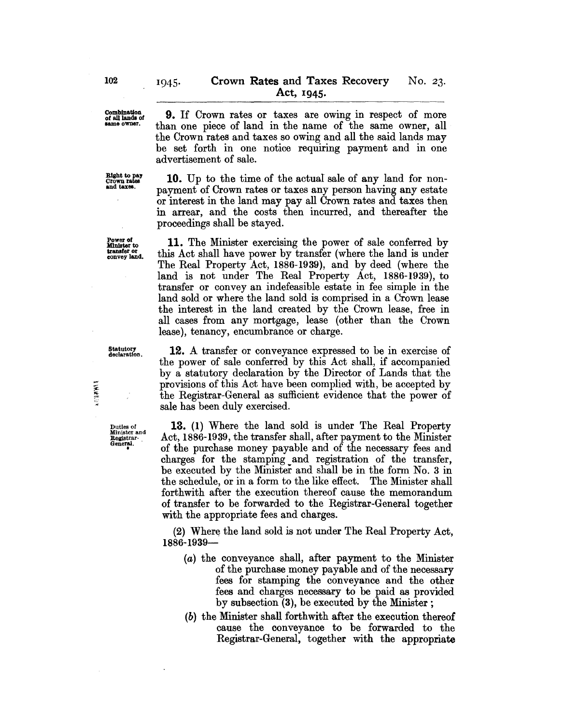Combination of aIllanda of lame owner.

Right to pay<br>Crown rates<br>and taxes.

Power of<br>Minister to convey land.

9. If Crown rates or taxes are owing in respect of more than one piece of land in the name of the same owner, all the Crown rates and taxes so owing and all the said lands may be set forth in one notice requiring payment and in one advertisement of sale.

10. Up to the time of the actual sale of any land for nonpayment of Crown rates or taxes any person having any estate or interest in the land may pay all Crown rates and taxes then in arrear, and the costs then incurred, and thereafter the proceedings shall be stayed.

11. The Minister exercising the power of sale conferred by this Act shall have power by transfer (where the land is under The Real Property Act, 1886-1939), and by deed (where the land is not under The Real Property Act, 1886-1939), to transfer or convey an indefeasible estate in fee simple in the land sold or where the land sold is comprised in a Crown lease the interest in the land created by the Crown lease, free in all cases from any mortgage, lease (other than the Crown lease), tenancy, encumbrance or charge.

12. A transfer or conveyance expressed to be in exercise of the power of sale conferred by this Act shall, if accompanied by a statutory declaration by the Director of Lands that the provisions of this Act have been complied with, be accepted by the Registrar-General as sufficient evidence that the power of sale has been duly exercised.

13. (1) Where the land sold is under The Real Property Act, 1886-1939, the transfer shall, after payment to the Minister of the purchase money payable and of the necessary fees and charges for the stamping and registration of the transfer, be executed by the Minister and shall be in the form No.3 in the schedule, or in a form to the like effect. The Minister shall forthwith after the execution thereof cause the memorandum of transfer to be forwarded to the Registrar-General together with the appropriate fees and charges.

 $(2)$  Where the land sold is not under The Real Property Act, 1886-1939-

- (a) the conveyance shall, after payment to the Minister of the purchase money payable and of the necessary fees for stamping the conveyance and the other fees and charges necessary to be paid as provided by subsection (3), be executed by the Minister;
- (b) the Minister shall forthwith after the execution thereof cause the conveyance to be forwarded to the Registrar-General, together with the appropriate

Statutor<del>y</del><br>declaration.

(月陰異病)

Duties of Minister and Registrar<br>General.<br>.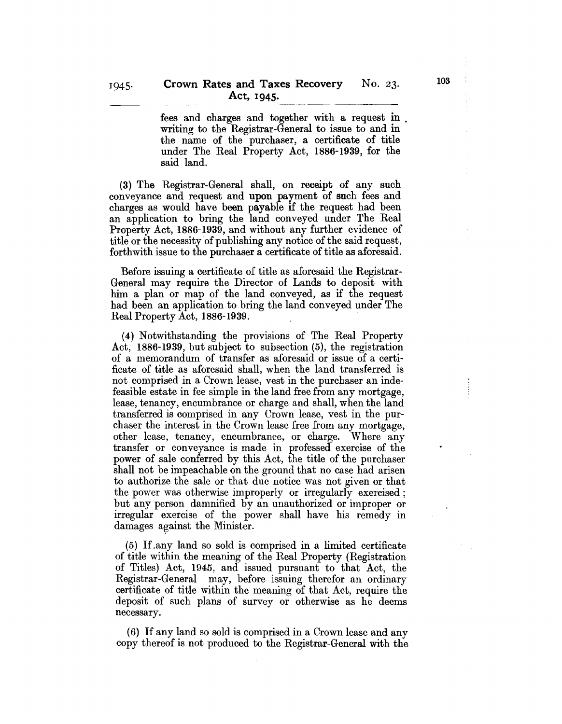fees and charges and together with a request in . writing to the Registrar-General to issue to and in the name of the purchaser, a certificate of title under The Real Property Act, 1886-1939, for the said land.

(3) The Registrar-General shall, on receipt of any such conveyance and request and upon payment of such fees and charges as would have been payable if the request had been an application to bring the land conveyed under The Real Property Act, 1886-1939, and without any further evidence of title or the necessity of publishing any notice of the said request, forthwith issue to the purchaser a certificate of title as aforesaid.

Before issuing a certificate of title as aforesaid the Registrar-General may require the Director of Lands to deposit with him a plan or map of the land conveyed, as if the request had been an application to bring the land conveyed under The Real Property Act, 1886-1939.

(4) Notwithstanding the provisions of The Real Property Act, 1886-1939, but subject to subsection (5), the registration of a memorandum of transfer as aforesaid or issue of a certificate of title as aforesaid shall, when the land transferred is not comprised in a Crown lease, vest in the purchaser an indefeasible estate in fee simple in the land free from any mortgage, lease, tenancy, encumbrance or charge and shall, when the land transferred is comprised in any Crown lease, vest in the purchaser the interest in the Crown lease free from any mortgage, other lease, tenancy, encumbrance, or charge. 'Vhere any transfer or conveyance is made in professed exercise of the power of sale conferred by this Act, the title of the purchaser shall not be impeachable on the ground that no case had arisen to authorize the sale or that due notice was not given or that the power was otherwise improperly or irregularly exercised; but any person damnified by an unauthorized or improper or irregular exercise of the power shall have his remedy in damages against the Minister.

(5) If .any land so sold is comprised in a limited certificate of title within the meaning of the Heal Property (Registration of Titles) Act, 1945, and issued pursuant to that Act, the Hegistrar-General may, before issuing therefor an ordinary certifioate of title within the meaning of that Act, require the deposit of such plans of survey or otherwise as he deems necessary.

(6) If any land so sold is comprised in a Crown lease and any copy thereof is not produced to the Registrar-General with the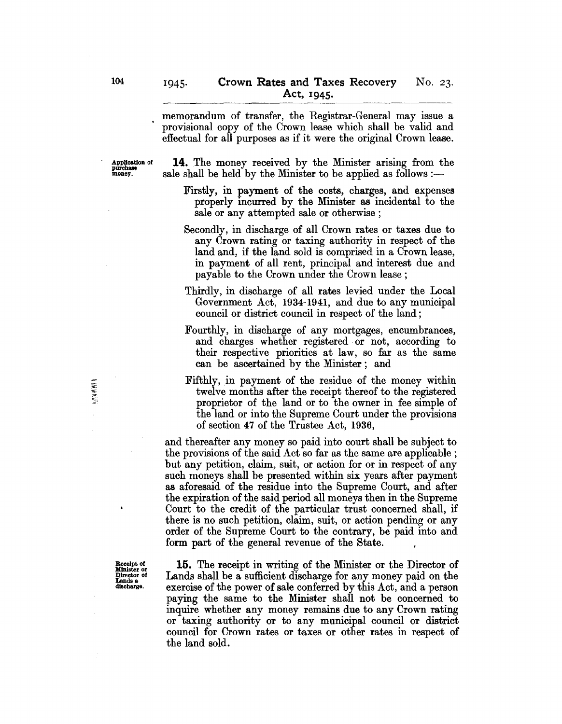memorandum of transfer, the Registrar-General may issue a . provisional copy of the Crown lease which shall be valid and effectual for all purposes as if it were the original Crown lease.

Application of 14. The money received by the Minister arising from the purchase money. sale shall be held by the Minister to be applied as follows :-

- Firstly, in payment of the costs, charges, and expenses properly incurred by the Minister as incidental to the sale or any attempted sale or otherwise;
- Secondly, in discharge of all Crown rates or taxes due to any Crown rating or taxing authority in respect of the land and, if the land sold is comprised in a Crown lease, in payment of all rent, principal and interest due and payable to the Crown under the Crown lease;
- Thirdly, in discharge of all rates levied under the Local Government Act, 1934-1941, and due to any municipal council or district council in respect of the land;
- Fourthly, in discharge of any mortgages, encumbrances, and charges whether registered. or not, according to their respective priorities at law, so far as the same can be ascertained by the Minister; and
- Fifthly, in payment of the residue of the money within twelve months after the receipt thereof to the registered proprietor of the land or to the owner in fee simple of the land or into the Supreme Court under the provisions of section 47 of the Trustee Act, 1936,

and thereafter any money so paid into court shall be subject to the provisions of the said Act so far as the same are applicable; but any petition, claim, sait, or action for or in respect of any such moneys shall be presented within six years after payment as aforesaid of the residue into the Supreme Court, and after the expiration of the said period all moneys then in the Supreme Court to the credit of the particular trust concerned shall, if there is no such petition, claim, suit, or action pending or any order of the Supreme Court to the contrary, be paid into and form part of the general revenue of the State.

15. The receipt in writing of the Minister or the Director of Lands shall be a sufficient discharge for any money paid on the exercise of the power of sale conferred by this Act, and a person paying the same to the Minister shall not be concerned to inquire whether any money remains due to any Crown rating or taxing authority or to any municipal council or district council for Crown rates or taxes or other rates in respect of the land sold.

Receipt of<br>Minister or<br>Director of Lands a discharge.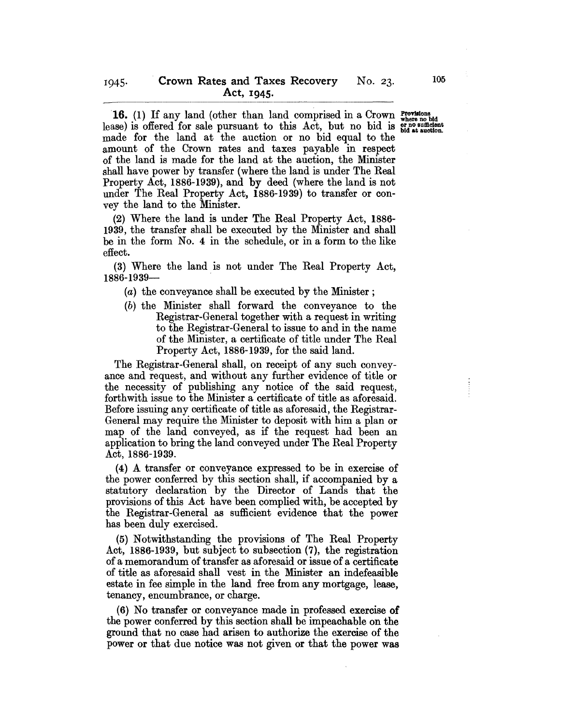16. (1) If any land (other than land comprised in a Crown where no bid lease) is offered for sale pursuant to this Act, but no bid is  $_{\text{bid at auction}}^{\text{or no sufficient}}$ made for the land at the auction or no bid equal to the amount of the Crown rates and taxes payable in respect of the land is made for the land at the auction, the Minister shall have power by transfer (where the land is under The Real Property Act, 1886-1939), and by deed (where the land is not under The Real Property Act, 1886-1939) to transfer or convey the land to the Minister.

(2) Where the land is under The Real Property Act, 1886- 1939, the transfer shall be executed by the Minister and shall be in the form No. 4 in the schedule, or in a form to the like effect.

(3) Where the land is not under The Real Property Act, 1886-1939-

- (a) the conveyance shall be executed by the Minister;
- (b) the Minister shall forward the conveyance to the Registrar-General together with a request in writing to the Registrar-General to issue to and in the name of the Minister, a certificate of title under The Real Property Act, 1886-1939, for the said land.

The Registrar-General shall, on receipt of any such conveyance and request, and without any further evidence of title or the necessity of publishing any notice of the said request, forthwith issue to the Minister a certificate of title as aforesaid. Before issuing any certificate of title as aforesaid, the Registrar-General may require the Minister to deposit with him a plan or map of the land conveyed, as if the request had been an application to bring the land conveyed under The Real Property Act, 1886-1939.

(4) A transfer or conveyance expressed to be in exercise of the power conferred by this section shall, if accompanied by a statutory declaration by the Director of Lands that the provisions of this Act have been complied with, be accepted by the Registrar-General as sufficient evidence that the power has been duly exercised.

(5) Notwithstanding the provisions of The Real Property Act, 1886-1939, but subject to subsection (7), the registration of a memorandum of transfer as aforesaid or issue of a certificate of title as aforesaid shall vest in the Minister an indefeasible estate in fee simple in the land free from any mortgage, lease, tenancy, encumbrance, or charge.

(6) No transfer or conveyance made in professed exercise of the power conferred by this section shall be impeachable on the ground that no case had arisen to authorize the exercise of the power or that due notice was not given or that the power was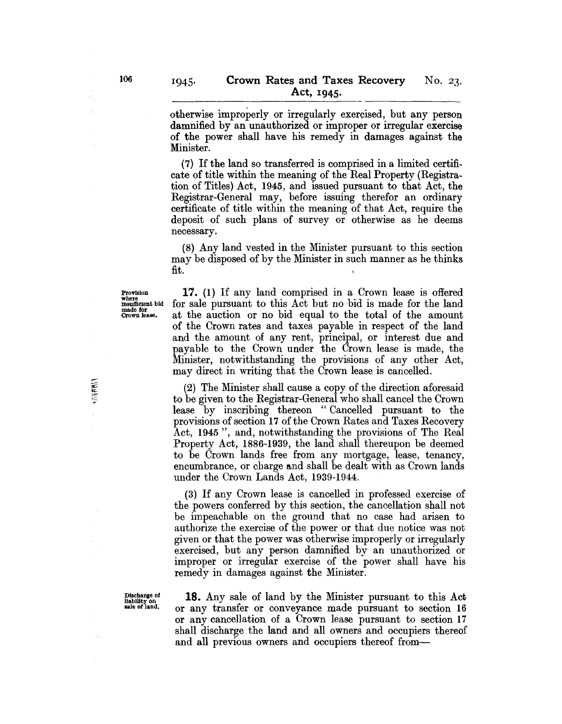otherwise improperly or irregularly exercised, but any person damnified by an unauthorized or improper or irregular exercise of the power shall have his remedy in damages against the Minister.

(7) If the land so transferred is comprised in a limited certificate of title within the meaning of the Real Property (Registration of Titles) Act, 1945, and issued pursuant to that Act, the Registrar-General may, before issuing therefor an ordinary certificate of title within the meaning of that Act, require the deposit of such plans of survey or otherwise as he deems necessary.

(8) Any land vested in the Minister pursuant to this section may be disposed of by the Minister in such manner as he thinks fit.

Provision where insufficient bid made for Crown lease.

**MARK** 

17. (1) If any land comprised in a Crown lease is offered for sale pursuant to this Act but no bid is made for the land at the auction or no bid equal to the total of the amount of the Crown rates and taxes payable in respect of the land and the amount of any rent, principal, or interest due and payable to the Crown under the Crown lease is made, the Minister, notwithstanding the provisions of any other Act, may direct in writing that the Crown lease is cancelled.

(2) The Minister shall cause a copy of the direction aforesaid to be given to the Registrar-General who shall cancel the Crown lease by inscribing thereon "Cancelled pursuant to the provisions of section 17 of the Crown Rates and Taxes Recovery Act, 1945", and, notwithstanding the provisions of The Real Property Act, 1886-1939, the land shall thereupon be deemed to be Crown lands free from any mortgage, lease, tenancy, encumbrance, or charge and shall be dealt with as Crown lands under the Crown Lands Act, 1939-1944.

(3) If any Crown lease is cancelled in professed exercise of the powers conferred by this section, the cancellation shall not be impeachable on the ground that no case had arisen to authorize the exercise of the power or that due notice was not given or that the power was othenvise improperly or irregularly exercised, but any person damnified by an unauthorized or improper or irregular exercise of the power shall have his remedy in damages against the Minister.

Discharge of  $\frac{18}{9}$ . Any sale of land by the Minister pursuant to this Act sale of land. The same transfer or conveyance made pursuant to section 16 or any transfer or conveyance made pursuant to section 16 or any cancellation of a Crown lease pursuant to section 17 shall discharge the land and all owners and occupiers thereof and all previous owners and occupiers thereof from-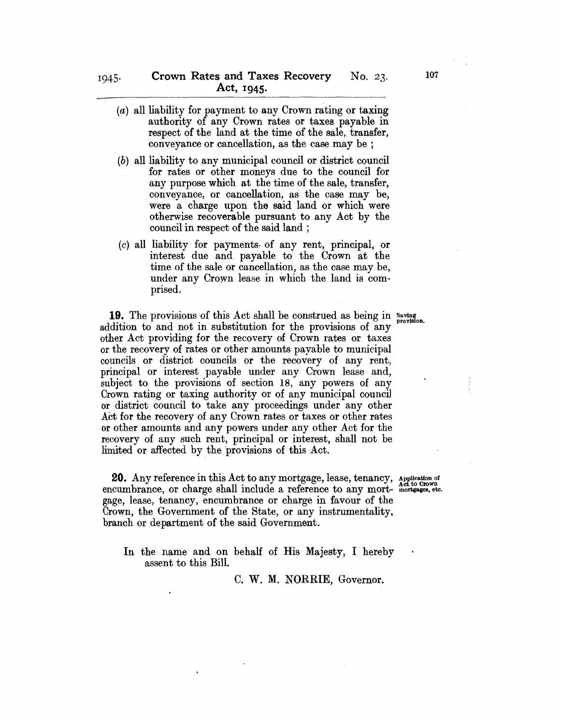- (a) all liability for payment to any Crown rating or taxing authority of any Crown rates or taxes payable in respect of the land at the time of the sale, transfer, conveyance or cancellation, as the case may be ;
- $(b)$  all liability to any municipal council or district council for rates or other moneys due to the council for any purpose which at the time of the sale, transfer, conveyance, or cancellation, as the case may be, were a charge upon the said land or which were otherwise recoverable pursuant to any Act by the council in respect of the said land ;
- (c) all liability for payments. of any rent, principal, or interest due and payable to the Crown at the time of the sale or cancellation, as the case may be, under any Crown lease in which the land is comprised.

19. The provisions of this Act shall be construed as being in Saving provision. addition to and not in substitution for the provisions of any other Act providing for the recovery of Crown rates or taxes or the recovery of rates or other amounts payable to municipal councils or district councils or the recovery of any rent, principal or interest payable under any Crown lease and, subject to the provisions of section 18, any powers of any Crown rating or taxing authority or of any municipal counci1 or district council to take any proceedings under any other Act for the recovery of any Crown rates or taxes or other rates or other amounts and any powers under any other Act for the recovery of any such rent, principal or interest, shall not be limited or affected by the provisions of this Act.

**20.** Any reference in this Act to any mortgage, lease, tenancy, encumbrance, or charge shall include a reference to any mortgage, lease, tenancy, encumbrance or charge in favour of the Crown, the Government of the State, or any instrumentality, branch or department of the said Government.

In the name and on behalf of His Majesty, I hereby assent to this Bill.

C. W. M. NORRIE, Governor.

Application of Act to Crown mortgages, etc.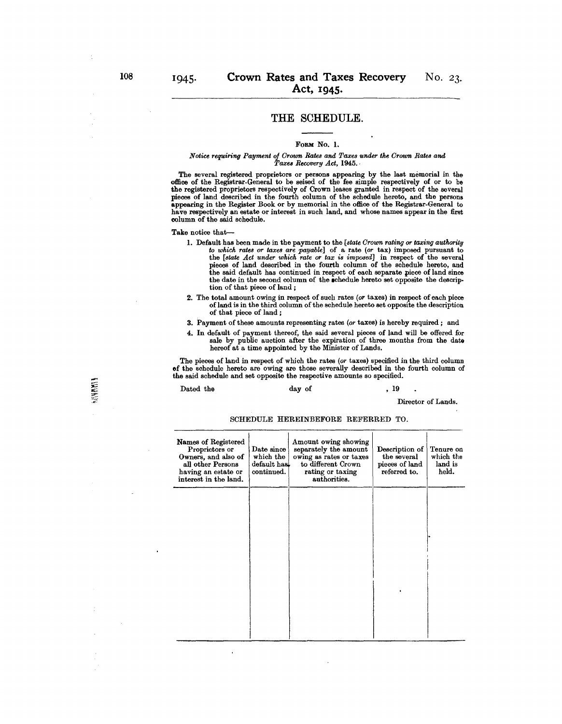# **THE** SCHEDULE.

#### FORM No. 1.

#### *Notice requiring Payment of Groum Rates and Taxes under the Groum Rate8 and Taxe8 Recovery Act,* 1945.·

The several registered proprietors or persons appearing by the last memorial in the office of the Registrar.General to be seised of the fee simple respectively of or to be the registered proprietors respectively of Grown leases granted in respect of the several pieces of land described in the fourth column of the schedule hereto, and the persons appearing in the Register Book or by memorial in the office of the Registrar-General to have respectively an estate or interest in such land, and whose names appear in the first column of the said schedule.

#### Take notice that-

- 1. Default has been made in the payment to the *[state Grown rating or taxing authority to which rates or taxes are payable]* of a rate *(or* tax) imposed pursuant to the *[state Act under which rate or tax is imposed]* in respect of the several pieces of land described in the fourth column of the schedule hereto, and the said default has continued in respect of each separate piece of land since the date in the second column of the schedule hereto set opposite the description of that piece of land;
- 2. The total amount owing in respect of such rates *(or* taxes) in respect of each piece of land is in the third column of the schedule hereto set opposite the description of that piece of land;
- 3. Payment of these amounts representing rates *(or* taxes) is hereby required; and
- 4. In default of payment thereof, the said several pieces of land will be offered for sale by public auction after the expiration of three months from the date hereof at a time appointed by the Minister of Lands.

The pieces of land in respect of which the rates *(or* taxes) specified in the third column of the schedule hereto are owing are those severally described in the fourth column of the said schedule and set opposite the respeotive amounts so specified.

#### Dated the day of , 19

Director of Lands.

SCHEDULE HEREINBEFORE REFERRED TO.

| Names of Registered<br>Proprietors or<br>Owners, and also of<br>all other Persons<br>having an estate or<br>interest in the land. | Date since<br>which the<br>default has<br>continued. | Amount owing showing<br>separately the amount<br>owing as rates or taxes<br>to different Crown<br>rating or taxing<br>authorities. | Description of<br>the several<br>pieces of land<br>referred to. | Tenure on<br>which the<br>land is<br>held. |
|-----------------------------------------------------------------------------------------------------------------------------------|------------------------------------------------------|------------------------------------------------------------------------------------------------------------------------------------|-----------------------------------------------------------------|--------------------------------------------|
|                                                                                                                                   |                                                      |                                                                                                                                    |                                                                 |                                            |
|                                                                                                                                   |                                                      |                                                                                                                                    |                                                                 |                                            |
|                                                                                                                                   |                                                      |                                                                                                                                    |                                                                 |                                            |